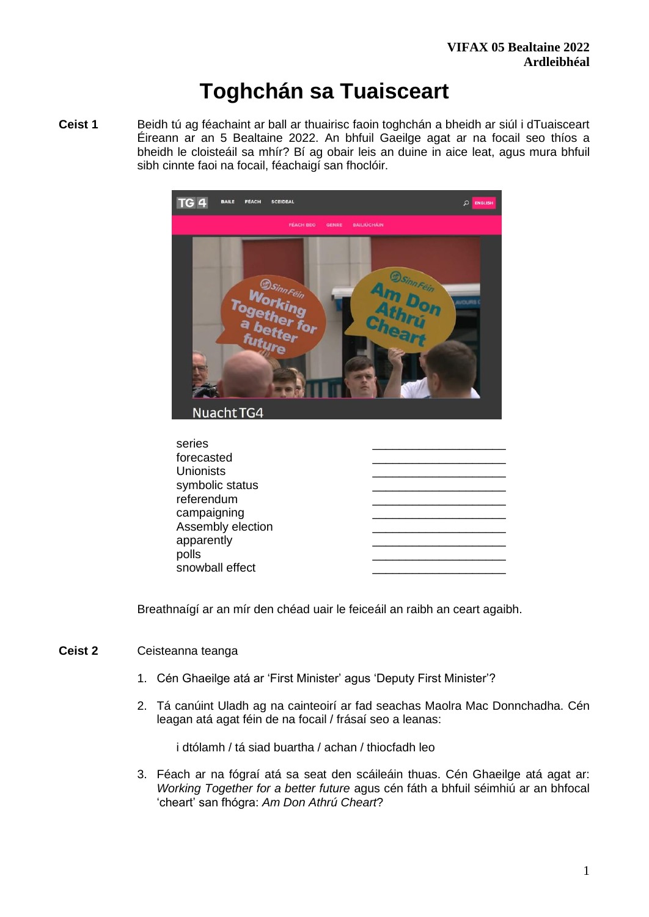# **Toghchán sa Tuaisceart**

**Ceist 1** Beidh tú ag féachaint ar ball ar thuairisc faoin toghchán a bheidh ar siúl i dTuaisceart Éireann ar an 5 Bealtaine 2022. An bhfuil Gaeilge agat ar na focail seo thíos a bheidh le cloisteáil sa mhír? Bí ag obair leis an duine in aice leat, agus mura bhfuil sibh cinnte faoi na focail, féachaigí san fhoclóir.



Breathnaígí ar an mír den chéad uair le feiceáil an raibh an ceart agaibh.

# **Ceist 2** Ceisteanna teanga

- 1. Cén Ghaeilge atá ar 'First Minister' agus 'Deputy First Minister'?
- 2. Tá canúint Uladh ag na cainteoirí ar fad seachas Maolra Mac Donnchadha. Cén leagan atá agat féin de na focail / frásaí seo a leanas:

i dtólamh / tá siad buartha / achan / thiocfadh leo

3. Féach ar na fógraí atá sa seat den scáileáin thuas. Cén Ghaeilge atá agat ar: *Working Together for a better future* agus cén fáth a bhfuil séimhiú ar an bhfocal 'cheart' san fhógra: *Am Don Athrú Cheart*?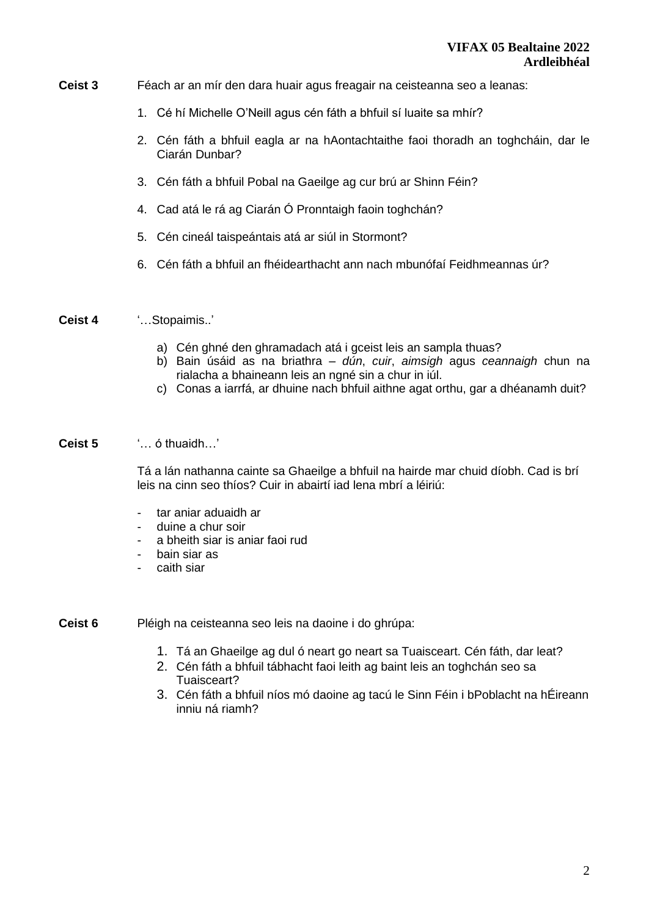- **Ceist 3** Féach ar an mír den dara huair agus freagair na ceisteanna seo a leanas:
	- 1. Cé hí Michelle O'Neill agus cén fáth a bhfuil sí luaite sa mhír?
	- 2. Cén fáth a bhfuil eagla ar na hAontachtaithe faoi thoradh an toghcháin, dar le Ciarán Dunbar?
	- 3. Cén fáth a bhfuil Pobal na Gaeilge ag cur brú ar Shinn Féin?
	- 4. Cad atá le rá ag Ciarán Ó Pronntaigh faoin toghchán?
	- 5. Cén cineál taispeántais atá ar siúl in Stormont?
	- 6. Cén fáth a bhfuil an fhéidearthacht ann nach mbunófaí Feidhmeannas úr?
- **Ceist 4** '…Stopaimis..'
	- a) Cén ghné den ghramadach atá i gceist leis an sampla thuas?
	- b) Bain úsáid as na briathra *dún*, *cuir*, *aimsigh* agus *ceannaigh* chun na rialacha a bhaineann leis an ngné sin a chur in iúl.
	- c) Conas a iarrfá, ar dhuine nach bhfuil aithne agat orthu, gar a dhéanamh duit?

#### **Ceist 5** '… ó thuaidh…'

Tá a lán nathanna cainte sa Ghaeilge a bhfuil na hairde mar chuid díobh. Cad is brí leis na cinn seo thíos? Cuir in abairtí iad lena mbrí a léiriú:

- tar aniar aduaidh ar
- duine a chur soir
- a bheith siar is aniar faoi rud
- bain siar as
- caith siar
- **Ceist 6** Pléigh na ceisteanna seo leis na daoine i do ghrúpa:
	- 1. Tá an Ghaeilge ag dul ó neart go neart sa Tuaisceart. Cén fáth, dar leat?
	- 2. Cén fáth a bhfuil tábhacht faoi leith ag baint leis an toghchán seo sa Tuaisceart?
	- 3. Cén fáth a bhfuil níos mó daoine ag tacú le Sinn Féin i bPoblacht na hÉireann inniu ná riamh?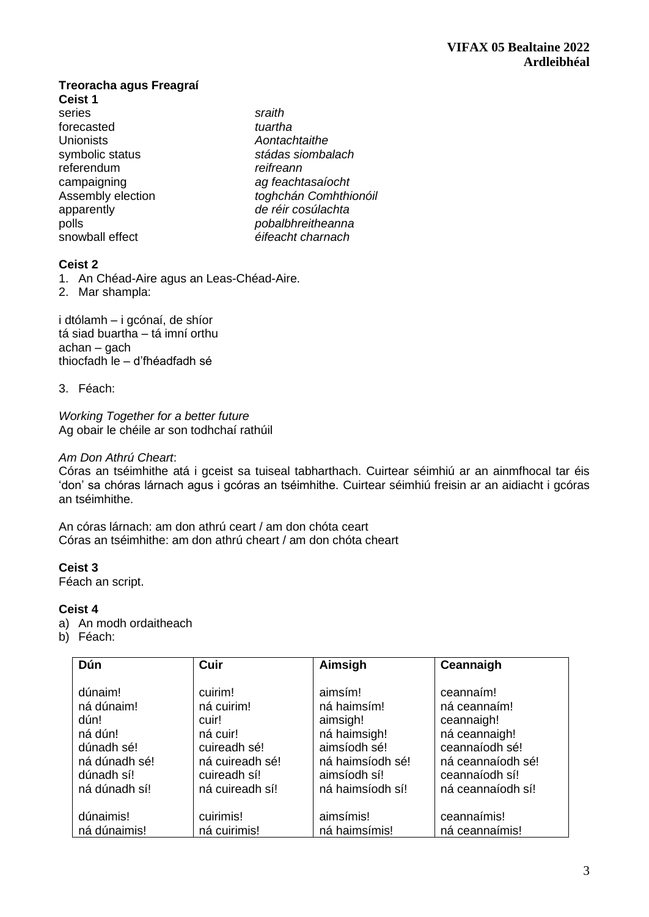#### **Treoracha agus Freagraí Ceist 1**

series *sraith*<br>forecasted *tuartha* forecasted *tuartha* Unionists *Aontachtaithe*  referendum *reifreann* 

symbolic status *stádas siombalach*  campaigning *ag feachtasaíocht*  Assembly election *toghchán Comhthionóil* apparently *de réir cosúlachta*  polls *pobalbhreitheanna*  snowball effect *éifeacht charnach* 

# **Ceist 2**

1. An Chéad-Aire agus an Leas-Chéad-Aire.

2. Mar shampla:

i dtólamh – i gcónaí, de shíor tá siad buartha – tá imní orthu achan – gach thiocfadh le – d'fhéadfadh sé

# 3. Féach:

*Working Together for a better future* Ag obair le chéile ar son todhchaí rathúil

## *Am Don Athrú Cheart*:

Córas an tséimhithe atá i gceist sa tuiseal tabharthach. Cuirtear séimhiú ar an ainmfhocal tar éis 'don' sa chóras lárnach agus i gcóras an tséimhithe. Cuirtear séimhiú freisin ar an aidiacht i gcóras an tséimhithe.

An córas lárnach: am don athrú ceart / am don chóta ceart Córas an tséimhithe: am don athrú cheart / am don chóta cheart

# **Ceist 3**

Féach an script.

# **Ceist 4**

- a) An modh ordaitheach
- b) Féach:

| Dún                                                                                   | Cuir                                                                                          | Aimsigh                                                                                                | Ceannaigh                                                                                                         |
|---------------------------------------------------------------------------------------|-----------------------------------------------------------------------------------------------|--------------------------------------------------------------------------------------------------------|-------------------------------------------------------------------------------------------------------------------|
| dúnaim!<br>ná dúnaim!<br>dún!<br>ná dún!<br>dúnadh sé!<br>ná dúnadh sé!<br>dúnadh sí! | cuirim!<br>ná cuirim!<br>cuir!<br>ná cuir!<br>cuireadh sé!<br>ná cuireadh sé!<br>cuireadh sí! | aimsím!<br>ná haimsím!<br>aimsigh!<br>ná haimsigh!<br>aimsíodh sé!<br>ná haimsíodh sé!<br>aimsíodh sí! | ceannaim!<br>ná ceannaím!<br>ceannaigh!<br>ná ceannaigh!<br>ceannaíodh sé!<br>ná ceannaíodh sé!<br>ceannaíodh sí! |
| ná dúnadh sí!                                                                         | ná cuireadh sí!                                                                               | ná haimsíodh sí!                                                                                       | ná ceannaíodh sí!                                                                                                 |
| dúnaimis!                                                                             | cuirimis!                                                                                     | aimsímis!                                                                                              | ceannaímis!                                                                                                       |
| ná dúnaimis!                                                                          | ná cuirimis!                                                                                  | ná haimsímis!                                                                                          | ná ceannaímis!                                                                                                    |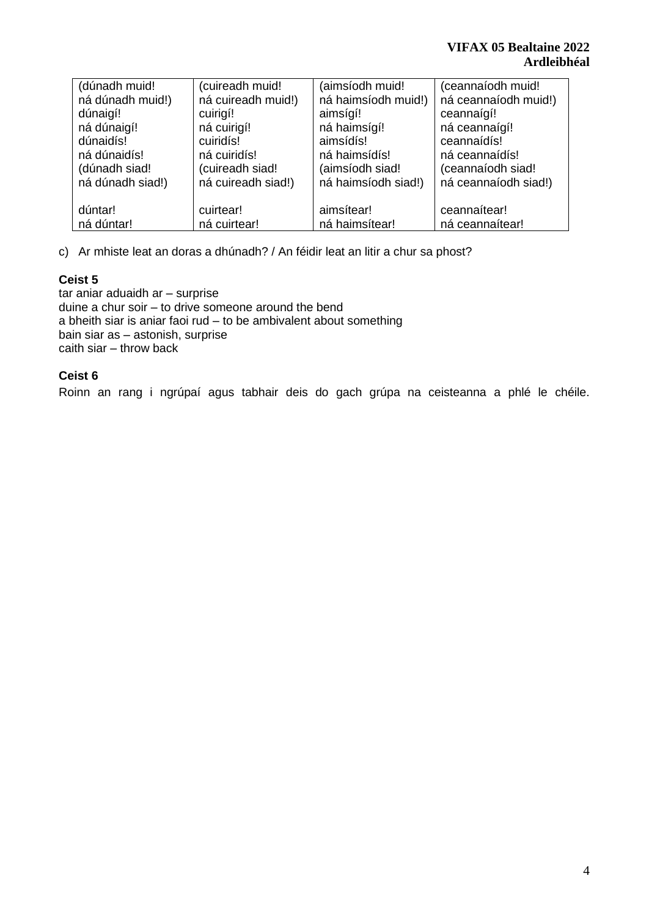| (dúnadh muid!    | (cuireadh muid!    | (aimsíodh muid!     | (ceannaíodh muid!    |
|------------------|--------------------|---------------------|----------------------|
| ná dúnadh muid!) | ná cuireadh muid!) | ná haimsíodh muid!) | ná ceannaíodh muid!) |
| dúnaigí!         | cuirigí!           | aimsígí!            | ceannaígí!           |
| ná dúnaigí!      | ná cuirigí!        | ná haimsígí!        | ná ceannaígí!        |
| dúnaidís!        | cuiridís!          | aimsídís!           | ceannaídís!          |
| ná dúnaidís!     | ná cuiridís!       | ná haimsídís!       | ná ceannaídís!       |
| (dúnadh siad!    | (cuireadh siad!    | (aimsíodh siad!     | (ceannaíodh siad!    |
| ná dúnadh siad!) | ná cuireadh siad!) | ná haimsíodh siad!) | ná ceannaíodh siad!) |
| dúntar!          | cuirtear!          | aimsítear!          | ceannaítear!         |
| ná dúntar!       | ná cuirtear!       | ná haimsítear!      | ná ceannaítear!      |

c) Ar mhiste leat an doras a dhúnadh? / An féidir leat an litir a chur sa phost?

# **Ceist 5**

tar aniar aduaidh ar – surprise duine a chur soir – to drive someone around the bend a bheith siar is aniar faoi rud – to be ambivalent about something bain siar as – astonish, surprise caith siar – throw back

# **Ceist 6**

Roinn an rang i ngrúpaí agus tabhair deis do gach grúpa na ceisteanna a phlé le chéile.